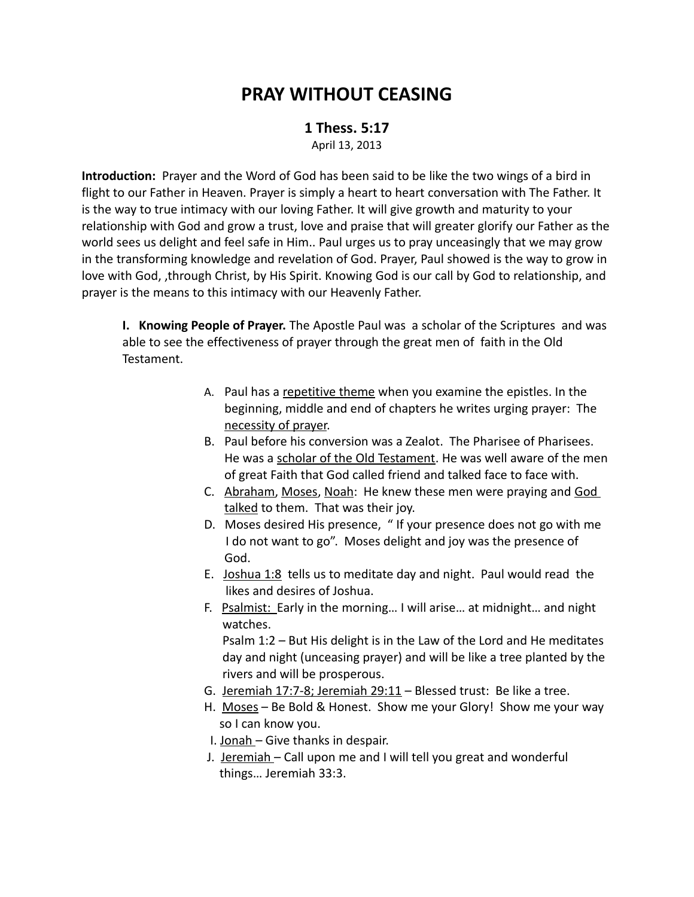# **PRAY WITHOUT CEASING**

## **1 Thess. 5:17** April 13, 2013

**Introduction:** Prayer and the Word of God has been said to be like the two wings of a bird in flight to our Father in Heaven. Prayer is simply a heart to heart conversation with The Father. It is the way to true intimacy with our loving Father. It will give growth and maturity to your relationship with God and grow a trust, love and praise that will greater glorify our Father as the world sees us delight and feel safe in Him.. Paul urges us to pray unceasingly that we may grow in the transforming knowledge and revelation of God. Prayer, Paul showed is the way to grow in love with God, ,through Christ, by His Spirit. Knowing God is our call by God to relationship, and prayer is the means to this intimacy with our Heavenly Father.

**I. Knowing People of Prayer.** The Apostle Paul was a scholar of the Scriptures and was able to see the effectiveness of prayer through the great men of faith in the Old Testament.

- A. Paul has a repetitive theme when you examine the epistles. In the beginning, middle and end of chapters he writes urging prayer: The necessity of prayer.
- B. Paul before his conversion was a Zealot. The Pharisee of Pharisees. He was a scholar of the Old Testament. He was well aware of the men of great Faith that God called friend and talked face to face with.
- C. Abraham, Moses, Noah: He knew these men were praying and God talked to them. That was their joy.
- D. Moses desired His presence, " If your presence does not go with me I do not want to go". Moses delight and joy was the presence of God.
- E. Joshua 1:8 tells us to meditate day and night. Paul would read the likes and desires of Joshua.
- F. Psalmist: Early in the morning… I will arise… at midnight… and night watches.

 Psalm 1:2 – But His delight is in the Law of the Lord and He meditates day and night (unceasing prayer) and will be like a tree planted by the rivers and will be prosperous.

- G. Jeremiah 17:7-8; Jeremiah 29:11 Blessed trust: Be like a tree.
- H. Moses Be Bold & Honest. Show me your Glory! Show me your way so I can know you.
- I. Jonah Give thanks in despair.
- J. Jeremiah Call upon me and I will tell you great and wonderful things… Jeremiah 33:3.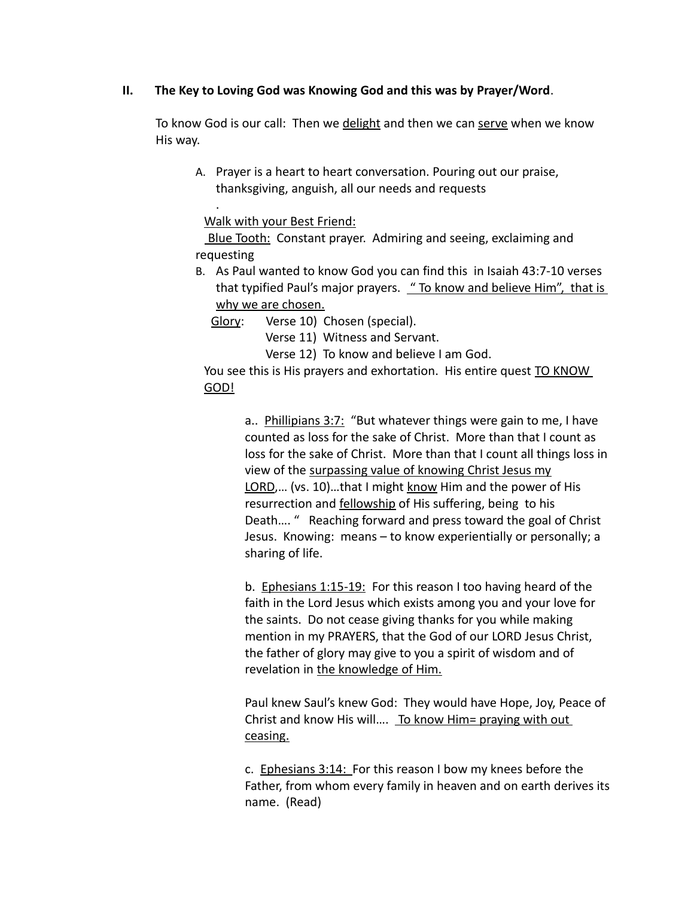## **II. The Key to Loving God was Knowing God and this was by Prayer/Word**.

To know God is our call: Then we delight and then we can serve when we know His way.

A. Prayer is a heart to heart conversation. Pouring out our praise, thanksgiving, anguish, all our needs and requests

Walk with your Best Friend:

.

 Blue Tooth: Constant prayer. Admiring and seeing, exclaiming and requesting

B. As Paul wanted to know God you can find this in Isaiah 43:7-10 verses that typified Paul's major prayers. " To know and believe Him", that is why we are chosen.

Glory: Verse 10) Chosen (special).

Verse 11) Witness and Servant.

Verse 12) To know and believe I am God.

You see this is His prayers and exhortation. His entire quest TO KNOW GOD!

> a.. Phillipians 3:7: "But whatever things were gain to me, I have counted as loss for the sake of Christ. More than that I count as loss for the sake of Christ. More than that I count all things loss in view of the surpassing value of knowing Christ Jesus my LORD,... (vs. 10)...that I might know Him and the power of His resurrection and **fellowship** of His suffering, being to his Death…. " Reaching forward and press toward the goal of Christ Jesus. Knowing: means – to know experientially or personally; a sharing of life.

b. Ephesians 1:15-19: For this reason I too having heard of the faith in the Lord Jesus which exists among you and your love for the saints. Do not cease giving thanks for you while making mention in my PRAYERS, that the God of our LORD Jesus Christ, the father of glory may give to you a spirit of wisdom and of revelation in the knowledge of Him.

Paul knew Saul's knew God: They would have Hope, Joy, Peace of Christ and know His will…. To know Him= praying with out ceasing.

c. Ephesians 3:14: For this reason I bow my knees before the Father, from whom every family in heaven and on earth derives its name. (Read)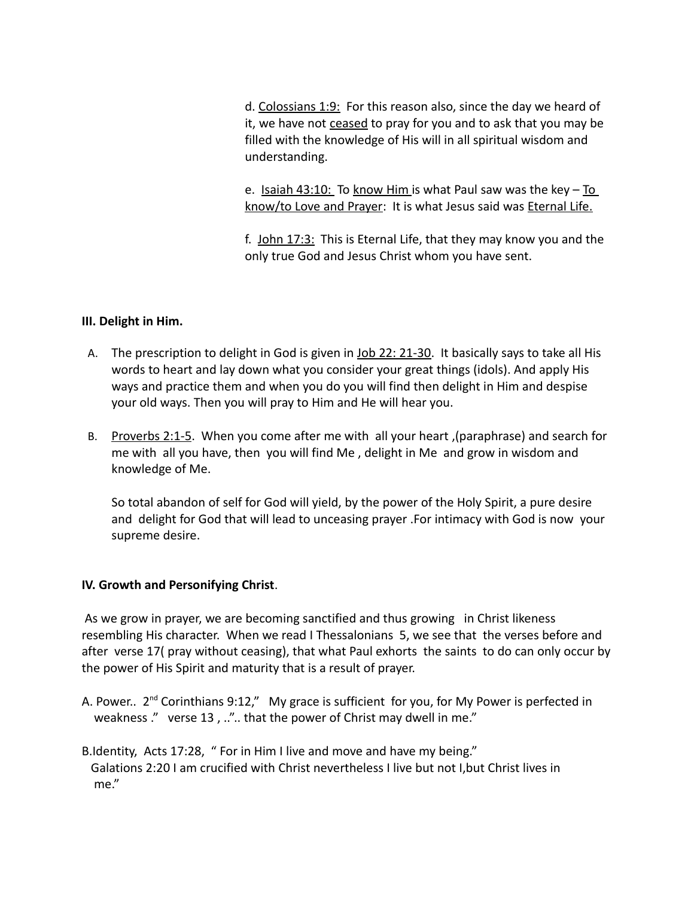d. Colossians 1:9: For this reason also, since the day we heard of it, we have not ceased to pray for you and to ask that you may be filled with the knowledge of His will in all spiritual wisdom and understanding.

e. Isaiah 43:10: To know Him is what Paul saw was the key  $-$  To know/to Love and Prayer: It is what Jesus said was Eternal Life.

f. John 17:3: This is Eternal Life, that they may know you and the only true God and Jesus Christ whom you have sent.

## **III. Delight in Him.**

- A. The prescription to delight in God is given in Job 22: 21-30. It basically says to take all His words to heart and lay down what you consider your great things (idols). And apply His ways and practice them and when you do you will find then delight in Him and despise your old ways. Then you will pray to Him and He will hear you.
- B. Proverbs 2:1-5. When you come after me with all your heart, (paraphrase) and search for me with all you have, then you will find Me , delight in Me and grow in wisdom and knowledge of Me.

So total abandon of self for God will yield, by the power of the Holy Spirit, a pure desire and delight for God that will lead to unceasing prayer .For intimacy with God is now your supreme desire.

## **IV. Growth and Personifying Christ**.

 As we grow in prayer, we are becoming sanctified and thus growing in Christ likeness resembling His character. When we read I Thessalonians 5, we see that the verses before and after verse 17( pray without ceasing), that what Paul exhorts the saints to do can only occur by the power of His Spirit and maturity that is a result of prayer.

- A. Power.. 2<sup>nd</sup> Corinthians 9:12," My grace is sufficient for you, for My Power is perfected in weakness ." verse 13, ..".. that the power of Christ may dwell in me."
- B.Identity, Acts 17:28, " For in Him I live and move and have my being." Galations 2:20 I am crucified with Christ nevertheless I live but not I,but Christ lives in me."